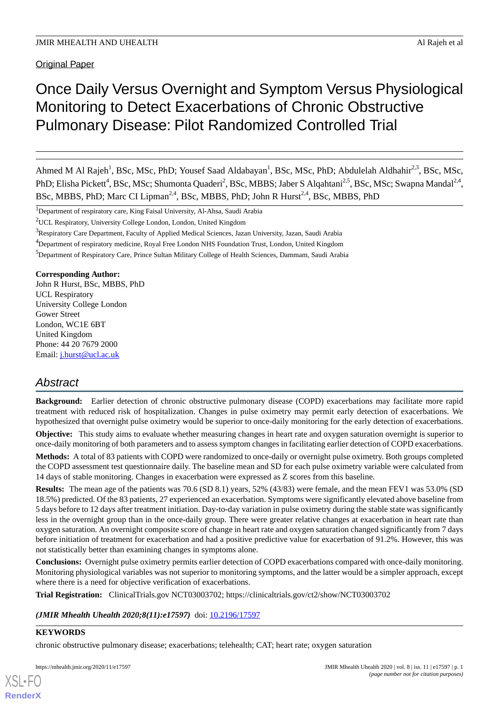Original Paper

# Once Daily Versus Overnight and Symptom Versus Physiological Monitoring to Detect Exacerbations of Chronic Obstructive Pulmonary Disease: Pilot Randomized Controlled Trial

Ahmed M Al Rajeh<sup>1</sup>, BSc, MSc, PhD; Yousef Saad Aldabayan<sup>1</sup>, BSc, MSc, PhD; Abdulelah Aldhahir<sup>2,3</sup>, BSc, MSc, PhD; Elisha Pickett<sup>4</sup>, BSc, MSc; Shumonta Quaderi<sup>2</sup>, BSc, MBBS; Jaber S Alqahtani<sup>2,5</sup>, BSc, MSc; Swapna Mandal<sup>2,4</sup>, BSc, MBBS, PhD; Marc CI Lipman<sup>2,4</sup>, BSc, MBBS, PhD; John R Hurst<sup>2,4</sup>, BSc, MBBS, PhD

<sup>1</sup>Department of respiratory care, King Faisal University, Al-Ahsa, Saudi Arabia

<sup>2</sup>UCL Respiratory, University College London, London, United Kingdom

<sup>4</sup>Department of respiratory medicine, Royal Free London NHS Foundation Trust, London, United Kingdom

<sup>5</sup>Department of Respiratory Care, Prince Sultan Military College of Health Sciences, Dammam, Saudi Arabia

**Corresponding Author:**

John R Hurst, BSc, MBBS, PhD UCL Respiratory University College London Gower Street London, WC1E 6BT United Kingdom Phone: 44 20 7679 2000 Email: [j.hurst@ucl.ac.uk](mailto:j.hurst@ucl.ac.uk)

## *Abstract*

**Background:** Earlier detection of chronic obstructive pulmonary disease (COPD) exacerbations may facilitate more rapid treatment with reduced risk of hospitalization. Changes in pulse oximetry may permit early detection of exacerbations. We hypothesized that overnight pulse oximetry would be superior to once-daily monitoring for the early detection of exacerbations.

**Objective:** This study aims to evaluate whether measuring changes in heart rate and oxygen saturation overnight is superior to once-daily monitoring of both parameters and to assess symptom changes in facilitating earlier detection of COPD exacerbations.

**Methods:** A total of 83 patients with COPD were randomized to once-daily or overnight pulse oximetry. Both groups completed the COPD assessment test questionnaire daily. The baseline mean and SD for each pulse oximetry variable were calculated from 14 days of stable monitoring. Changes in exacerbation were expressed as Z scores from this baseline.

**Results:** The mean age of the patients was 70.6 (SD 8.1) years, 52% (43/83) were female, and the mean FEV1 was 53.0% (SD 18.5%) predicted. Of the 83 patients, 27 experienced an exacerbation. Symptoms were significantly elevated above baseline from 5 days before to 12 days after treatment initiation. Day-to-day variation in pulse oximetry during the stable state was significantly less in the overnight group than in the once-daily group. There were greater relative changes at exacerbation in heart rate than oxygen saturation. An overnight composite score of change in heart rate and oxygen saturation changed significantly from 7 days before initiation of treatment for exacerbation and had a positive predictive value for exacerbation of 91.2%. However, this was not statistically better than examining changes in symptoms alone.

**Conclusions:** Overnight pulse oximetry permits earlier detection of COPD exacerbations compared with once-daily monitoring. Monitoring physiological variables was not superior to monitoring symptoms, and the latter would be a simpler approach, except where there is a need for objective verification of exacerbations.

**Trial Registration:** ClinicalTrials.gov NCT03003702; https://clinicaltrials.gov/ct2/show/NCT03003702

*(JMIR Mhealth Uhealth 2020;8(11):e17597)* doi: **10.2196/17597** 

## **KEYWORDS**

[XSL](http://www.w3.org/Style/XSL)•FO **[RenderX](http://www.renderx.com/)**

chronic obstructive pulmonary disease; exacerbations; telehealth; CAT; heart rate; oxygen saturation

<sup>3</sup>Respiratory Care Department, Faculty of Applied Medical Sciences, Jazan University, Jazan, Saudi Arabia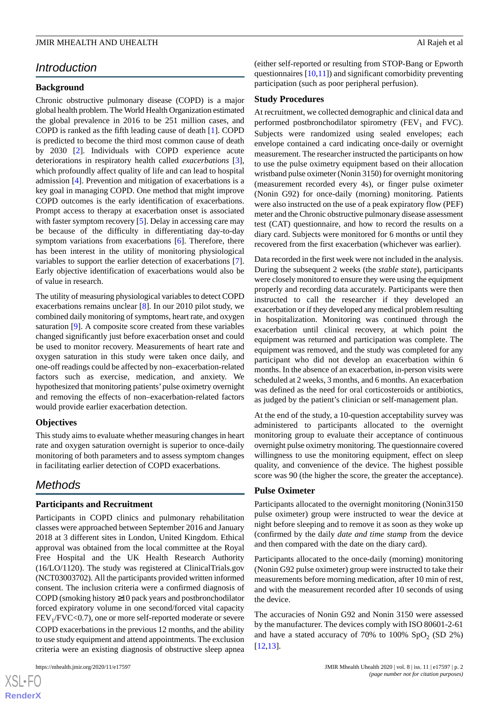## *Introduction*

## **Background**

Chronic obstructive pulmonary disease (COPD) is a major global health problem. The World Health Organization estimated the global prevalence in 2016 to be 251 million cases, and COPD is ranked as the fifth leading cause of death [[1](#page-11-0)]. COPD is predicted to become the third most common cause of death by 2030 [[2\]](#page-11-1). Individuals with COPD experience acute deteriorations in respiratory health called *exacerbations* [[3\]](#page-11-2), which profoundly affect quality of life and can lead to hospital admission [\[4](#page-11-3)]. Prevention and mitigation of exacerbations is a key goal in managing COPD. One method that might improve COPD outcomes is the early identification of exacerbations. Prompt access to therapy at exacerbation onset is associated with faster symptom recovery [\[5](#page-11-4)]. Delay in accessing care may be because of the difficulty in differentiating day-to-day symptom variations from exacerbations [\[6](#page-11-5)]. Therefore, there has been interest in the utility of monitoring physiological variables to support the earlier detection of exacerbations [[7\]](#page-11-6). Early objective identification of exacerbations would also be of value in research.

The utility of measuring physiological variables to detect COPD exacerbations remains unclear [[8\]](#page-11-7). In our 2010 pilot study, we combined daily monitoring of symptoms, heart rate, and oxygen saturation [[9\]](#page-11-8). A composite score created from these variables changed significantly just before exacerbation onset and could be used to monitor recovery. Measurements of heart rate and oxygen saturation in this study were taken once daily, and one-off readings could be affected by non–exacerbation-related factors such as exercise, medication, and anxiety. We hypothesized that monitoring patients' pulse oximetry overnight and removing the effects of non–exacerbation-related factors would provide earlier exacerbation detection.

## **Objectives**

This study aims to evaluate whether measuring changes in heart rate and oxygen saturation overnight is superior to once-daily monitoring of both parameters and to assess symptom changes in facilitating earlier detection of COPD exacerbations.

## *Methods*

## **Participants and Recruitment**

Participants in COPD clinics and pulmonary rehabilitation classes were approached between September 2016 and January 2018 at 3 different sites in London, United Kingdom. Ethical approval was obtained from the local committee at the Royal Free Hospital and the UK Health Research Authority (16/LO/1120). The study was registered at ClinicalTrials.gov (NCT03003702). All the participants provided written informed consent. The inclusion criteria were a confirmed diagnosis of COPD (smoking history ≥10 pack years and postbronchodilator forced expiratory volume in one second/forced vital capacity FEV<sub>1</sub>/FVC<0.7), one or more self-reported moderate or severe COPD exacerbations in the previous 12 months, and the ability to use study equipment and attend appointments. The exclusion criteria were an existing diagnosis of obstructive sleep apnea

 $XS$ -FO **[RenderX](http://www.renderx.com/)** (either self-reported or resulting from STOP-Bang or Epworth questionnaires  $[10,11]$  $[10,11]$  $[10,11]$  and significant comorbidity preventing participation (such as poor peripheral perfusion).

### **Study Procedures**

At recruitment, we collected demographic and clinical data and performed postbronchodilator spirometry ( $FEV<sub>1</sub>$  and  $FVC$ ). Subjects were randomized using sealed envelopes; each envelope contained a card indicating once-daily or overnight measurement. The researcher instructed the participants on how to use the pulse oximetry equipment based on their allocation wristband pulse oximeter (Nonin 3150) for overnight monitoring (measurement recorded every 4s), or finger pulse oximeter (Nonin G92) for once-daily (morning) monitoring. Patients were also instructed on the use of a peak expiratory flow (PEF) meter and the Chronic obstructive pulmonary disease assessment test (CAT) questionnaire, and how to record the results on a diary card. Subjects were monitored for 6 months or until they recovered from the first exacerbation (whichever was earlier).

Data recorded in the first week were not included in the analysis. During the subsequent 2 weeks (the *stable state*), participants were closely monitored to ensure they were using the equipment properly and recording data accurately. Participants were then instructed to call the researcher if they developed an exacerbation or if they developed any medical problem resulting in hospitalization. Monitoring was continued through the exacerbation until clinical recovery, at which point the equipment was returned and participation was complete. The equipment was removed, and the study was completed for any participant who did not develop an exacerbation within 6 months. In the absence of an exacerbation, in-person visits were scheduled at 2 weeks, 3 months, and 6 months. An exacerbation was defined as the need for oral corticosteroids or antibiotics, as judged by the patient's clinician or self-management plan.

At the end of the study, a 10-question acceptability survey was administered to participants allocated to the overnight monitoring group to evaluate their acceptance of continuous overnight pulse oximetry monitoring. The questionnaire covered willingness to use the monitoring equipment, effect on sleep quality, and convenience of the device. The highest possible score was 90 (the higher the score, the greater the acceptance).

### **Pulse Oximeter**

Participants allocated to the overnight monitoring (Nonin3150 pulse oximeter) group were instructed to wear the device at night before sleeping and to remove it as soon as they woke up (confirmed by the daily *date and time stamp* from the device and then compared with the date on the diary card).

Participants allocated to the once-daily (morning) monitoring (Nonin G92 pulse oximeter) group were instructed to take their measurements before morning medication, after 10 min of rest, and with the measurement recorded after 10 seconds of using the device.

The accuracies of Nonin G92 and Nonin 3150 were assessed by the manufacturer. The devices comply with ISO 80601-2-61 and have a stated accuracy of 70% to 100%  $SpO<sub>2</sub>$  (SD 2%) [[12,](#page-12-1)[13\]](#page-12-2).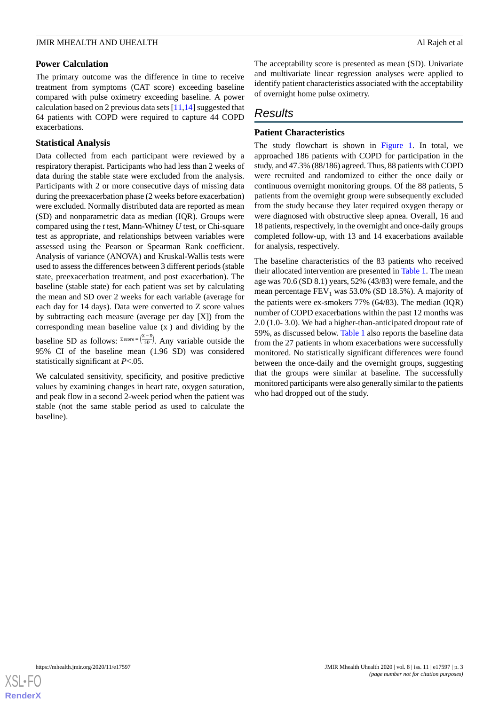### **Power Calculation**

The primary outcome was the difference in time to receive treatment from symptoms (CAT score) exceeding baseline compared with pulse oximetry exceeding baseline. A power calculation based on 2 previous data sets [\[11](#page-12-0),[14\]](#page-12-3) suggested that 64 patients with COPD were required to capture 44 COPD exacerbations.

## **Statistical Analysis**

Data collected from each participant were reviewed by a respiratory therapist. Participants who had less than 2 weeks of data during the stable state were excluded from the analysis. Participants with 2 or more consecutive days of missing data during the preexacerbation phase (2 weeks before exacerbation) were excluded. Normally distributed data are reported as mean (SD) and nonparametric data as median (IQR). Groups were compared using the *t* test, Mann-Whitney *U* test, or Chi-square test as appropriate, and relationships between variables were assessed using the Pearson or Spearman Rank coefficient. Analysis of variance (ANOVA) and Kruskal-Wallis tests were used to assess the differences between 3 different periods (stable state, preexacerbation treatment, and post exacerbation). The baseline (stable state) for each patient was set by calculating the mean and SD over 2 weeks for each variable (average for each day for 14 days). Data were converted to Z score values by subtracting each measure (average per day [X]) from the corresponding mean baseline value (x ) and dividing by the baseline SD as follows:  $z_{\text{score}} = (\frac{X - \bar{x}}{SD})$ . Any variable outside the 95% CI of the baseline mean (1.96 SD) was considered statistically significant at *P*<.05.

We calculated sensitivity, specificity, and positive predictive values by examining changes in heart rate, oxygen saturation, and peak flow in a second 2-week period when the patient was stable (not the same stable period as used to calculate the baseline).

The acceptability score is presented as mean (SD). Univariate and multivariate linear regression analyses were applied to identify patient characteristics associated with the acceptability of overnight home pulse oximetry.

## *Results*

## **Patient Characteristics**

The study flowchart is shown in [Figure 1](#page-3-0). In total, we approached 186 patients with COPD for participation in the study, and 47.3% (88/186) agreed. Thus, 88 patients with COPD were recruited and randomized to either the once daily or continuous overnight monitoring groups. Of the 88 patients, 5 patients from the overnight group were subsequently excluded from the study because they later required oxygen therapy or were diagnosed with obstructive sleep apnea. Overall, 16 and 18 patients, respectively, in the overnight and once-daily groups completed follow-up, with 13 and 14 exacerbations available for analysis, respectively.

The baseline characteristics of the 83 patients who received their allocated intervention are presented in [Table 1](#page-4-0). The mean age was 70.6 (SD 8.1) years, 52% (43/83) were female, and the mean percentage  $FEV_1$  was 53.0% (SD 18.5%). A majority of the patients were ex-smokers 77% (64/83). The median (IQR) number of COPD exacerbations within the past 12 months was 2.0 (1.0- 3.0). We had a higher-than-anticipated dropout rate of 59%, as discussed below. [Table 1](#page-4-0) also reports the baseline data from the 27 patients in whom exacerbations were successfully monitored. No statistically significant differences were found between the once-daily and the overnight groups, suggesting that the groups were similar at baseline. The successfully monitored participants were also generally similar to the patients who had dropped out of the study.

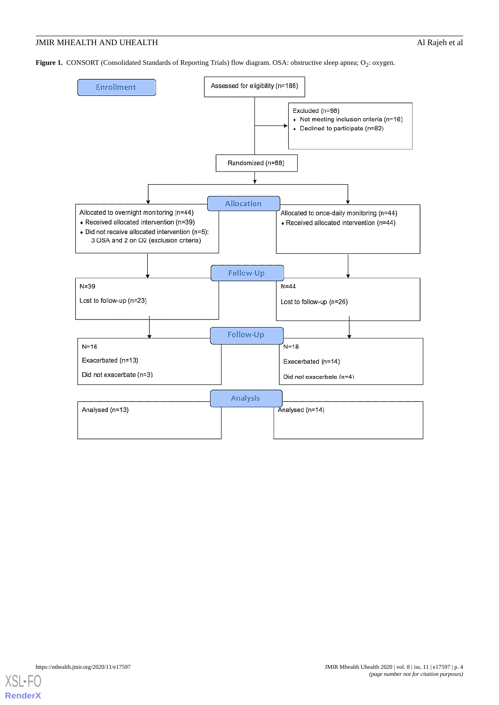<span id="page-3-0"></span>**Figure 1.** CONSORT (Consolidated Standards of Reporting Trials) flow diagram. OSA: obstructive sleep apnea; O<sub>2</sub>: oxygen.



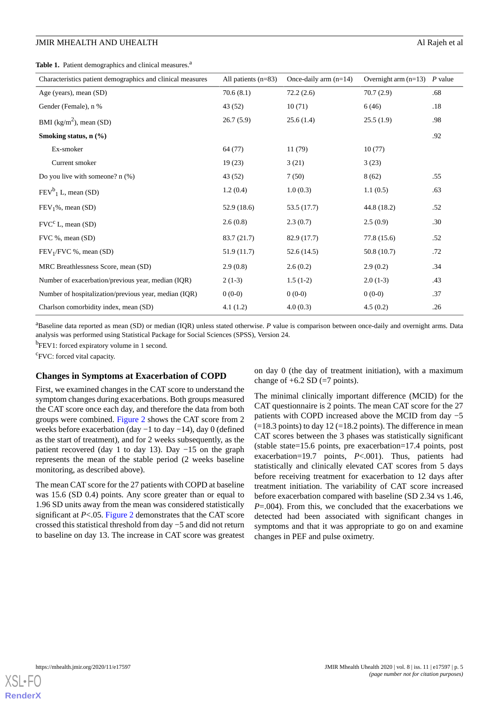<span id="page-4-0"></span>Table 1. Patient demographics and clinical measures.<sup>a</sup>

| Characteristics patient demographics and clinical measures | All patients $(n=83)$ | Once-daily arm $(n=14)$ | Overnight arm $(n=13)$ P value |     |
|------------------------------------------------------------|-----------------------|-------------------------|--------------------------------|-----|
| Age (years), mean (SD)                                     | 70.6(8.1)             | 72.2(2.6)               | 70.7(2.9)                      | .68 |
| Gender (Female), n %                                       | 43 (52)               | 10(71)                  | 6(46)                          | .18 |
| BMI ( $\text{kg/m}^2$ ), mean (SD)                         | 26.7(5.9)             | 25.6(1.4)               | 25.5(1.9)                      | .98 |
| Smoking status, $n$ $(\%)$                                 |                       |                         |                                | .92 |
| Ex-smoker                                                  | 64 (77)               | 11(79)                  | 10(77)                         |     |
| Current smoker                                             | 19(23)                | 3(21)                   | 3(23)                          |     |
| Do you live with someone? $n$ (%)                          | 43 (52)               | 7(50)                   | 8(62)                          | .55 |
| $FEV^b$ <sub>1</sub> L, mean (SD)                          | 1.2(0.4)              | 1.0(0.3)                | 1.1(0.5)                       | .63 |
| $FEV1%$ , mean (SD)                                        | 52.9(18.6)            | 53.5 (17.7)             | 44.8 (18.2)                    | .52 |
| $\text{FVC}^c$ L, mean (SD)                                | 2.6(0.8)              | 2.3(0.7)                | 2.5(0.9)                       | .30 |
| FVC %, mean (SD)                                           | 83.7 (21.7)           | 82.9 (17.7)             | 77.8 (15.6)                    | .52 |
| $FEV1/FVC %$ , mean (SD)                                   | 51.9 (11.7)           | 52.6(14.5)              | 50.8 (10.7)                    | .72 |
| MRC Breathlessness Score, mean (SD)                        | 2.9(0.8)              | 2.6(0.2)                | 2.9(0.2)                       | .34 |
| Number of exacerbation/previous year, median (IQR)         | $2(1-3)$              | $1.5(1-2)$              | $2.0(1-3)$                     | .43 |
| Number of hospitalization/previous year, median (IQR)      | $0(0-0)$              | $0(0-0)$                | $0(0-0)$                       | .37 |
| Charlson comorbidity index, mean (SD)                      | 4.1(1.2)              | 4.0(0.3)                | 4.5(0.2)                       | .26 |

<sup>a</sup>Baseline data reported as mean (SD) or median (IQR) unless stated otherwise. P value is comparison between once-daily and overnight arms. Data analysis was performed using Statistical Package for Social Sciences (SPSS), Version 24.

<sup>b</sup>FEV1: forced expiratory volume in 1 second.

<sup>c</sup>FVC: forced vital capacity.

#### **Changes in Symptoms at Exacerbation of COPD**

First, we examined changes in the CAT score to understand the symptom changes during exacerbations. Both groups measured the CAT score once each day, and therefore the data from both groups were combined. [Figure 2](#page-5-0) shows the CAT score from 2 weeks before exacerbation (day −1 to day −14), day 0 (defined as the start of treatment), and for 2 weeks subsequently, as the patient recovered (day 1 to day 13). Day −15 on the graph represents the mean of the stable period (2 weeks baseline monitoring, as described above).

The mean CAT score for the 27 patients with COPD at baseline was 15.6 (SD 0.4) points. Any score greater than or equal to 1.96 SD units away from the mean was considered statistically significant at *P*<.05. [Figure 2](#page-5-0) demonstrates that the CAT score crossed this statistical threshold from day −5 and did not return to baseline on day 13. The increase in CAT score was greatest on day 0 (the day of treatment initiation), with a maximum change of  $+6.2$  SD ( $=7$  points).

The minimal clinically important difference (MCID) for the CAT questionnaire is 2 points. The mean CAT score for the 27 patients with COPD increased above the MCID from day −5  $(=18.3 \text{ points})$  to day 12 ( $=18.2 \text{ points}$ ). The difference in mean CAT scores between the 3 phases was statistically significant (stable state=15.6 points, pre exacerbation=17.4 points, post exacerbation=19.7 points, *P*<.001). Thus, patients had statistically and clinically elevated CAT scores from 5 days before receiving treatment for exacerbation to 12 days after treatment initiation. The variability of CAT score increased before exacerbation compared with baseline (SD 2.34 vs 1.46, *P*=.004). From this, we concluded that the exacerbations we detected had been associated with significant changes in symptoms and that it was appropriate to go on and examine changes in PEF and pulse oximetry.

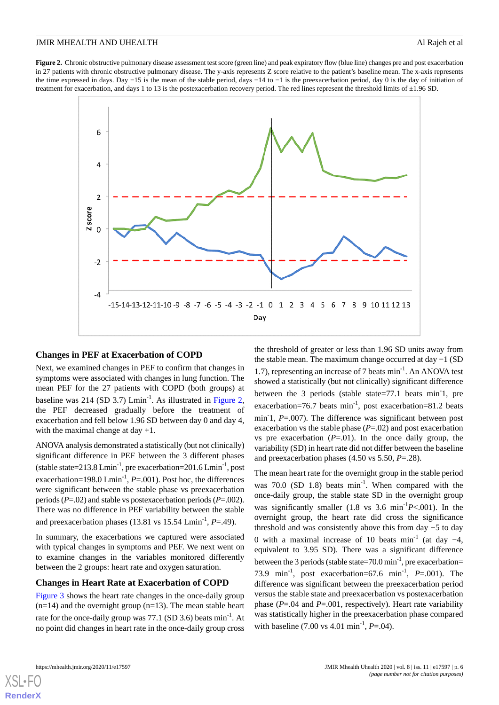<span id="page-5-0"></span>**Figure 2.** Chronic obstructive pulmonary disease assessment test score (green line) and peak expiratory flow (blue line) changes pre and post exacerbation in 27 patients with chronic obstructive pulmonary disease. The y-axis represents Z score relative to the patient's baseline mean. The x-axis represents the time expressed in days. Day −15 is the mean of the stable period, days −14 to −1 is the preexacerbation period, day 0 is the day of initiation of treatment for exacerbation, and days 1 to 13 is the postexacerbation recovery period. The red lines represent the threshold limits of  $\pm$ 1.96 SD.



#### **Changes in PEF at Exacerbation of COPD**

Next, we examined changes in PEF to confirm that changes in symptoms were associated with changes in lung function. The mean PEF for the 27 patients with COPD (both groups) at baseline was 214 (SD 3.7)  $Lmin^{-1}$ . As illustrated in [Figure 2](#page-5-0), the PEF decreased gradually before the treatment of exacerbation and fell below 1.96 SD between day 0 and day 4, with the maximal change at day  $+1$ .

ANOVA analysis demonstrated a statistically (but not clinically) significant difference in PEF between the 3 different phases (stable state= $213.8 \text{ Lmin}^{-1}$ , pre exacerbation= $201.6 \text{ Lmin}^{-1}$ , post exacerbation=198.0 Lmin<sup>-1</sup>, *P*=.001). Post hoc, the differences were significant between the stable phase vs preexacerbation periods (*P*=.02) and stable vs postexacerbation periods (*P*=.002). There was no difference in PEF variability between the stable and preexacerbation phases (13.81 vs 15.54 Lmin<sup>-1</sup>, *P*=.49).

In summary, the exacerbations we captured were associated with typical changes in symptoms and PEF. We next went on to examine changes in the variables monitored differently between the 2 groups: heart rate and oxygen saturation.

#### **Changes in Heart Rate at Exacerbation of COPD**

[Figure 3](#page-6-0) shows the heart rate changes in the once-daily group  $(n=14)$  and the overnight group  $(n=13)$ . The mean stable heart rate for the once-daily group was  $77.1$  (SD 3.6) beats min<sup>-1</sup>. At no point did changes in heart rate in the once-daily group cross the threshold of greater or less than 1.96 SD units away from the stable mean. The maximum change occurred at day −1 (SD 1.7), representing an increase of 7 beats min<sup>-1</sup>. An ANOVA test showed a statistically (but not clinically) significant difference between the 3 periods (stable state=77.1 beats min<sup>-1</sup>, pre exacerbation=76.7 beats min<sup>-1</sup>, post exacerbation=81.2 beats min<sup>-1</sup>, *P*=.007). The difference was significant between post exacerbation vs the stable phase (*P*=.02) and post exacerbation vs pre exacerbation  $(P=0.01)$ . In the once daily group, the variability (SD) in heart rate did not differ between the baseline and preexacerbation phases (4.50 vs 5.50, *P*=.28).

The mean heart rate for the overnight group in the stable period was  $70.0$  (SD 1.8) beats  $min^{-1}$ . When compared with the once-daily group, the stable state SD in the overnight group was significantly smaller (1.8 vs 3.6 min-1*P*<.001). In the overnight group, the heart rate did cross the significance threshold and was consistently above this from day −5 to day 0 with a maximal increase of 10 beats min<sup>-1</sup> (at day  $-4$ , equivalent to 3.95 SD). There was a significant difference between the 3 periods (stable state=70.0 min<sup>-1</sup>, pre exacerbation= 73.9 min<sup>-1</sup>, post exacerbation=67.6 min<sup>-1</sup>,  $P = .001$ ). The difference was significant between the preexacerbation period versus the stable state and preexacerbation vs postexacerbation phase (*P*=.04 and *P*=.001, respectively). Heart rate variability was statistically higher in the preexacerbation phase compared with baseline  $(7.00 \text{ vs } 4.01 \text{ min}^{-1}, P = .04)$ .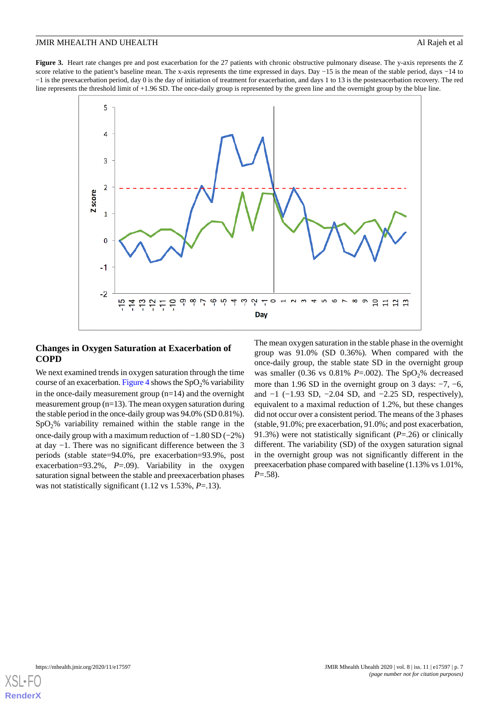<span id="page-6-0"></span>Figure 3. Heart rate changes pre and post exacerbation for the 27 patients with chronic obstructive pulmonary disease. The y-axis represents the Z score relative to the patient's baseline mean. The x-axis represents the time expressed in days. Day −15 is the mean of the stable period, days −14 to −1 is the preexacerbation period, day 0 is the day of initiation of treatment for exacerbation, and days 1 to 13 is the postexacerbation recovery. The red line represents the threshold limit of +1.96 SD. The once-daily group is represented by the green line and the overnight group by the blue line.



## **Changes in Oxygen Saturation at Exacerbation of COPD**

We next examined trends in oxygen saturation through the time course of an exacerbation. [Figure 4](#page-7-0) shows the  $SpO<sub>2</sub>%$  variability in the once-daily measurement group  $(n=14)$  and the overnight measurement group (n=13). The mean oxygen saturation during the stable period in the once-daily group was 94.0% (SD 0.81%).  $SpO<sub>2</sub>%$  variability remained within the stable range in the once-daily group with a maximum reduction of −1.80 SD (−2%) at day −1. There was no significant difference between the 3 periods (stable state=94.0%, pre exacerbation=93.9%, post exacerbation=93.2%, *P*=.09). Variability in the oxygen saturation signal between the stable and preexacerbation phases was not statistically significant (1.12 vs 1.53%, *P*=.13).

The mean oxygen saturation in the stable phase in the overnight group was 91.0% (SD 0.36%). When compared with the once-daily group, the stable state SD in the overnight group was smaller  $(0.36 \text{ vs } 0.81\% P = .002)$ . The SpO<sub>2</sub>% decreased more than 1.96 SD in the overnight group on 3 days: −7, −6, and  $-1$  ( $-1.93$  SD,  $-2.04$  SD, and  $-2.25$  SD, respectively), equivalent to a maximal reduction of 1.2%, but these changes did not occur over a consistent period. The means of the 3 phases (stable, 91.0%; pre exacerbation, 91.0%; and post exacerbation, 91.3%) were not statistically significant (*P*=.26) or clinically different. The variability (SD) of the oxygen saturation signal in the overnight group was not significantly different in the preexacerbation phase compared with baseline (1.13% vs 1.01%, *P*=.58).

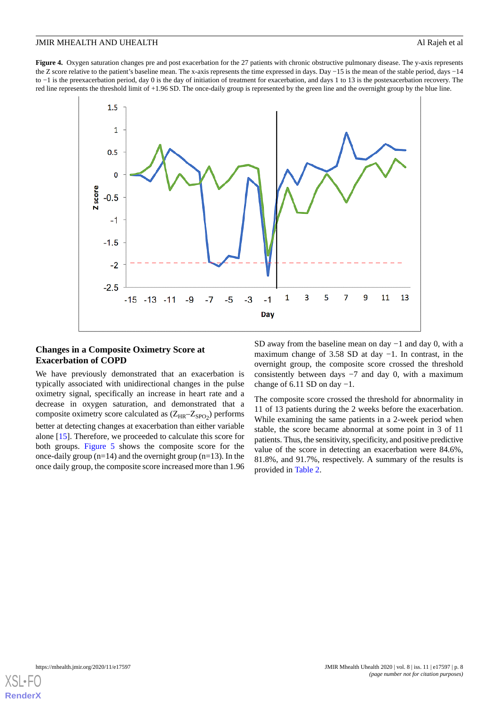<span id="page-7-0"></span>**Figure 4.** Oxygen saturation changes pre and post exacerbation for the 27 patients with chronic obstructive pulmonary disease. The y-axis represents the Z score relative to the patient's baseline mean. The x-axis represents the time expressed in days. Day −15 is the mean of the stable period, days −14 to −1 is the preexacerbation period, day 0 is the day of initiation of treatment for exacerbation, and days 1 to 13 is the postexacerbation recovery. The red line represents the threshold limit of +1.96 SD. The once-daily group is represented by the green line and the overnight group by the blue line.



## **Changes in a Composite Oximetry Score at Exacerbation of COPD**

We have previously demonstrated that an exacerbation is typically associated with unidirectional changes in the pulse oximetry signal, specifically an increase in heart rate and a decrease in oxygen saturation, and demonstrated that a composite oximetry score calculated as  $(Z_{HR} - Z_{SPO_2})$  performs better at detecting changes at exacerbation than either variable alone [\[15](#page-12-4)]. Therefore, we proceeded to calculate this score for both groups. [Figure 5](#page-8-0) shows the composite score for the once-daily group ( $n=14$ ) and the overnight group ( $n=13$ ). In the once daily group, the composite score increased more than 1.96

SD away from the baseline mean on day −1 and day 0, with a maximum change of 3.58 SD at day −1. In contrast, in the overnight group, the composite score crossed the threshold consistently between days −7 and day 0, with a maximum change of 6.11 SD on day  $-1$ .

The composite score crossed the threshold for abnormality in 11 of 13 patients during the 2 weeks before the exacerbation. While examining the same patients in a 2-week period when stable, the score became abnormal at some point in 3 of 11 patients. Thus, the sensitivity, specificity, and positive predictive value of the score in detecting an exacerbation were 84.6%, 81.8%, and 91.7%, respectively. A summary of the results is provided in [Table 2](#page-8-1).

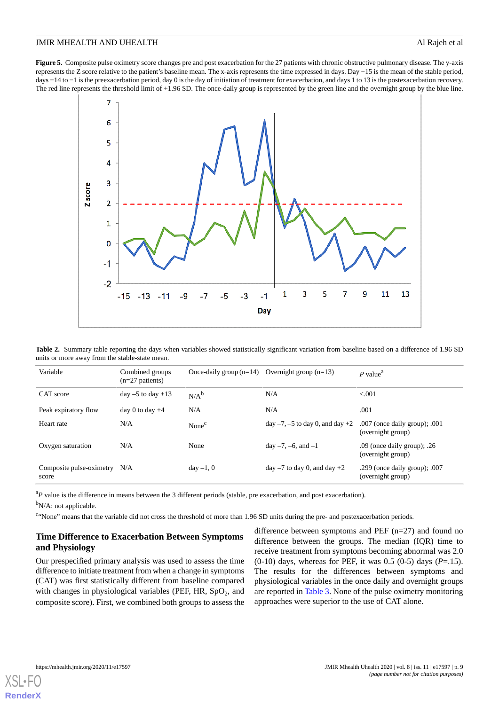<span id="page-8-0"></span>**Figure 5.** Composite pulse oximetry score changes pre and post exacerbation for the 27 patients with chronic obstructive pulmonary disease. The y-axis represents the Z score relative to the patient's baseline mean. The x-axis represents the time expressed in days. Day −15 is the mean of the stable period, days −14 to −1 is the preexacerbation period, day 0 is the day of initiation of treatment for exacerbation, and days 1 to 13 is the postexacerbation recovery. The red line represents the threshold limit of +1.96 SD. The once-daily group is represented by the green line and the overnight group by the blue line.



<span id="page-8-1"></span>**Table 2.** Summary table reporting the days when variables showed statistically significant variation from baseline based on a difference of 1.96 SD units or more away from the stable-state mean.

| Variable                          | Combined groups<br>$(n=27$ patients) | Once-daily group $(n=14)$ Overnight group $(n=13)$ |                                   | $P$ value <sup>a</sup>                                 |
|-----------------------------------|--------------------------------------|----------------------------------------------------|-----------------------------------|--------------------------------------------------------|
| CAT score                         | day $-5$ to day $+13$                | $N/A^b$                                            | N/A                               | < 0.001                                                |
| Peak expiratory flow              | day 0 to day $+4$                    | N/A                                                | N/A                               | .001                                                   |
| Heart rate                        | N/A                                  | None <sup>c</sup>                                  | $day -7, -5$ to day 0, and day +2 | $.007$ (once daily group); $.001$<br>(overnight group) |
| Oxygen saturation                 | N/A                                  | None                                               | day $-7, -6$ , and $-1$           | $.09$ (once daily group); $.26$<br>(overnight group)   |
| Composite pulse-oximetry<br>score | N/A                                  | $day -1, 0$                                        | $day -7$ to day 0, and day $+2$   | .299 (once daily group); $.007$<br>(overnight group)   |

<sup>a</sup>P value is the difference in means between the 3 different periods (stable, pre exacerbation, and post exacerbation).

 $b_{N/A}$ : not applicable.

<sup>c.</sup>None" means that the variable did not cross the threshold of more than 1.96 SD units during the pre- and postexacerbation periods.

## **Time Difference to Exacerbation Between Symptoms and Physiology**

Our prespecified primary analysis was used to assess the time difference to initiate treatment from when a change in symptoms (CAT) was first statistically different from baseline compared with changes in physiological variables (PEF, HR,  $SpO<sub>2</sub>$ , and composite score). First, we combined both groups to assess the

difference between symptoms and PEF (n=27) and found no difference between the groups. The median (IQR) time to receive treatment from symptoms becoming abnormal was 2.0 (0-10) days, whereas for PEF, it was 0.5 (0-5) days (*P*=.15). The results for the differences between symptoms and physiological variables in the once daily and overnight groups are reported in [Table 3.](#page-9-0) None of the pulse oximetry monitoring approaches were superior to the use of CAT alone.



**[RenderX](http://www.renderx.com/)**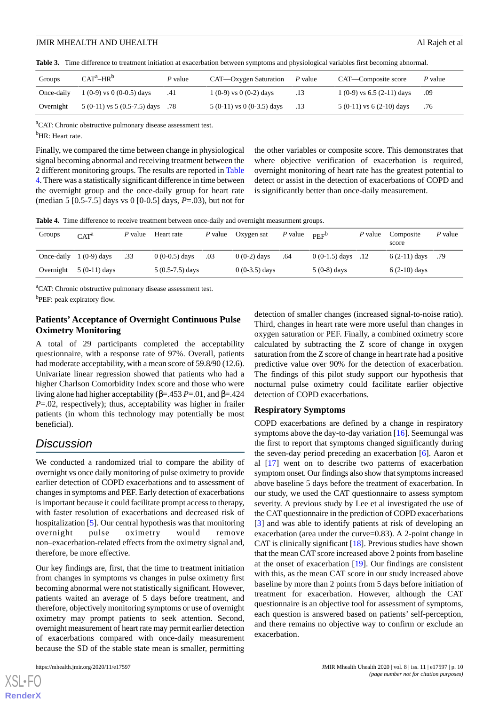<span id="page-9-0"></span>**Table 3.** Time difference to treatment initiation at exacerbation between symptoms and physiological variables first becoming abnormal.

| Groups    | $CAT^a-HR^b$                           | P value | CAT—Oxygen Saturation         | P value | CAT—Composite score         | P value |
|-----------|----------------------------------------|---------|-------------------------------|---------|-----------------------------|---------|
|           | Once-daily $1(0-9)$ vs $0(0-0.5)$ days | .41     | $1(0-9)$ vs $0(0-2)$ days     | .13     | $1(0-9)$ vs 6.5 (2-11) days | -.09    |
| Overnight | $5(0-11)$ vs $5(0.5-7.5)$ days .78     |         | $5(0-11)$ vs 0 $(0-3.5)$ days |         | $5(0-11)$ vs $6(2-10)$ days | .76     |

<sup>a</sup>CAT: Chronic obstructive pulmonary disease assessment test.

<sup>b</sup>HR: Heart rate.

Finally, we compared the time between change in physiological signal becoming abnormal and receiving treatment between the 2 different monitoring groups. The results are reported in [Table](#page-9-1) [4](#page-9-1). There was a statistically significant difference in time between the overnight group and the once-daily group for heart rate (median 5 [0.5-7.5] days vs 0 [0-0.5] days, *P*=.03), but not for the other variables or composite score. This demonstrates that where objective verification of exacerbation is required, overnight monitoring of heart rate has the greatest potential to detect or assist in the detection of exacerbations of COPD and is significantly better than once-daily measurement.

<span id="page-9-1"></span>**Table 4.** Time difference to receive treatment between once-daily and overnight measurment groups.

| Groups    | CAT <sup>a</sup>         | P value | Heart rate        | P value | Oxygen sat      | P value | PEF <sup>b</sup>    | P value | Composite<br>score | P value |
|-----------|--------------------------|---------|-------------------|---------|-----------------|---------|---------------------|---------|--------------------|---------|
|           | Once-daily $1(0-9)$ days | .33     | $0(0-0.5)$ days   | .03     | $0(0-2)$ days   | .64     | $0(0-1.5)$ days .12 |         | $6(2-11)$ days     | .79     |
| Overnight | $5(0-11)$ days           |         | $5(0.5-7.5)$ days |         | $0(0-3.5)$ days |         | $5(0-8)$ days       |         | $6(2-10)$ days     |         |

<sup>a</sup>CAT: Chronic obstructive pulmonary disease assessment test.

<sup>b</sup>PEF: peak expiratory flow.

## **Patients' Acceptance of Overnight Continuous Pulse Oximetry Monitoring**

A total of 29 participants completed the acceptability questionnaire, with a response rate of 97%. Overall, patients had moderate acceptability, with a mean score of 59.8/90 (12.6). Univariate linear regression showed that patients who had a higher Charlson Comorbidity Index score and those who were living alone had higher acceptability (β=.453 *P*=.01, and β=.424 *P*=.02, respectively); thus, acceptability was higher in frailer patients (in whom this technology may potentially be most beneficial).

## *Discussion*

We conducted a randomized trial to compare the ability of overnight vs once daily monitoring of pulse oximetry to provide earlier detection of COPD exacerbations and to assessment of changes in symptoms and PEF. Early detection of exacerbations is important because it could facilitate prompt access to therapy, with faster resolution of exacerbations and decreased risk of hospitalization [[5\]](#page-11-4). Our central hypothesis was that monitoring overnight pulse oximetry would remove non–exacerbation-related effects from the oximetry signal and, therefore, be more effective.

Our key findings are, first, that the time to treatment initiation from changes in symptoms vs changes in pulse oximetry first becoming abnormal were not statistically significant. However, patients waited an average of 5 days before treatment, and therefore, objectively monitoring symptoms or use of overnight oximetry may prompt patients to seek attention. Second, overnight measurement of heart rate may permit earlier detection of exacerbations compared with once-daily measurement because the SD of the stable state mean is smaller, permitting

detection of smaller changes (increased signal-to-noise ratio). Third, changes in heart rate were more useful than changes in oxygen saturation or PEF. Finally, a combined oximetry score calculated by subtracting the Z score of change in oxygen saturation from the Z score of change in heart rate had a positive predictive value over 90% for the detection of exacerbation. The findings of this pilot study support our hypothesis that nocturnal pulse oximetry could facilitate earlier objective detection of COPD exacerbations.

#### **Respiratory Symptoms**

COPD exacerbations are defined by a change in respiratory symptoms above the day-to-day variation [[16\]](#page-12-5). Seemungal was the first to report that symptoms changed significantly during the seven-day period preceding an exacerbation [[6](#page-11-5)]. Aaron et al [[17\]](#page-12-6) went on to describe two patterns of exacerbation symptom onset. Our findings also show that symptoms increased above baseline 5 days before the treatment of exacerbation. In our study, we used the CAT questionnaire to assess symptom severity. A previous study by Lee et al investigated the use of the CAT questionnaire in the prediction of COPD exacerbations [[3\]](#page-11-2) and was able to identify patients at risk of developing an exacerbation (area under the curve=0.83). A 2-point change in CAT is clinically significant [[18\]](#page-12-7). Previous studies have shown that the mean CAT score increased above 2 points from baseline at the onset of exacerbation [\[19](#page-12-8)]. Our findings are consistent with this, as the mean CAT score in our study increased above baseline by more than 2 points from 5 days before initiation of treatment for exacerbation. However, although the CAT questionnaire is an objective tool for assessment of symptoms, each question is answered based on patients' self-perception, and there remains no objective way to confirm or exclude an exacerbation.

[XSL](http://www.w3.org/Style/XSL)•FO **[RenderX](http://www.renderx.com/)**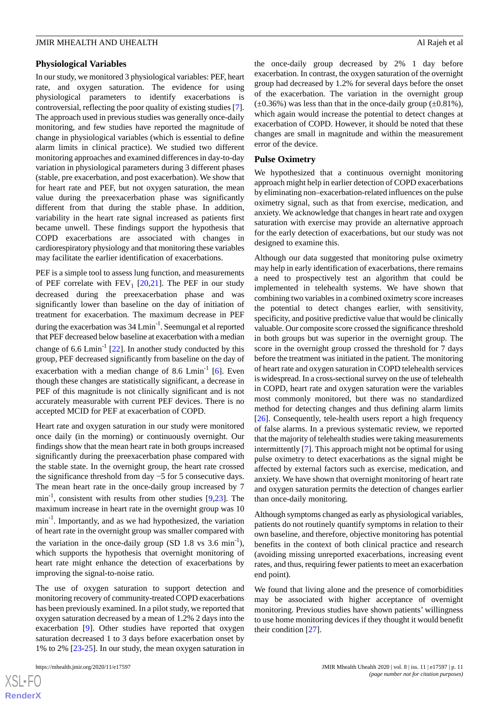#### **Physiological Variables**

In our study, we monitored 3 physiological variables: PEF, heart rate, and oxygen saturation. The evidence for using physiological parameters to identify exacerbations is controversial, reflecting the poor quality of existing studies [[7\]](#page-11-6). The approach used in previous studies was generally once-daily monitoring, and few studies have reported the magnitude of change in physiological variables (which is essential to define alarm limits in clinical practice). We studied two different monitoring approaches and examined differences in day-to-day variation in physiological parameters during 3 different phases (stable, pre exacerbation, and post exacerbation). We show that for heart rate and PEF, but not oxygen saturation, the mean value during the preexacerbation phase was significantly different from that during the stable phase. In addition, variability in the heart rate signal increased as patients first became unwell. These findings support the hypothesis that COPD exacerbations are associated with changes in cardiorespiratory physiology and that monitoring these variables may facilitate the earlier identification of exacerbations.

PEF is a simple tool to assess lung function, and measurements of PEF correlate with  $FEV_1$  [\[20](#page-12-9),[21\]](#page-12-10). The PEF in our study decreased during the preexacerbation phase and was significantly lower than baseline on the day of initiation of treatment for exacerbation. The maximum decrease in PEF during the exacerbation was 34 Lmin<sup>-1</sup>. Seemungal et al reported that PEF decreased below baseline at exacerbation with a median change of 6.6  $Lmin^{-1}$  [[22\]](#page-12-11). In another study conducted by this group, PEF decreased significantly from baseline on the day of exacerbation with a median change of 8.6  $\text{Lmin}^{-1}$  [\[6\]](#page-11-5). Even though these changes are statistically significant, a decrease in PEF of this magnitude is not clinically significant and is not accurately measurable with current PEF devices. There is no accepted MCID for PEF at exacerbation of COPD.

Heart rate and oxygen saturation in our study were monitored once daily (in the morning) or continuously overnight. Our findings show that the mean heart rate in both groups increased significantly during the preexacerbation phase compared with the stable state. In the overnight group, the heart rate crossed the significance threshold from day −5 for 5 consecutive days. The mean heart rate in the once-daily group increased by 7  $\min^{-1}$ , consistent with results from other studies [[9](#page-11-8)[,23](#page-12-12)]. The maximum increase in heart rate in the overnight group was 10 min<sup>-1</sup>. Importantly, and as we had hypothesized, the variation of heart rate in the overnight group was smaller compared with the variation in the once-daily group (SD 1.8 vs  $3.6 \text{ min}^{-1}$ ), which supports the hypothesis that overnight monitoring of heart rate might enhance the detection of exacerbations by improving the signal-to-noise ratio.

The use of oxygen saturation to support detection and monitoring recovery of community-treated COPD exacerbations has been previously examined. In a pilot study, we reported that oxygen saturation decreased by a mean of 1.2% 2 days into the exacerbation [\[9](#page-11-8)]. Other studies have reported that oxygen saturation decreased 1 to 3 days before exacerbation onset by 1% to 2% [[23-](#page-12-12)[25\]](#page-12-13). In our study, the mean oxygen saturation in

 $XS$ -FO **[RenderX](http://www.renderx.com/)** the once-daily group decreased by 2% 1 day before exacerbation. In contrast, the oxygen saturation of the overnight group had decreased by 1.2% for several days before the onset of the exacerbation. The variation in the overnight group  $(\pm 0.36\%)$  was less than that in the once-daily group  $(\pm 0.81\%)$ , which again would increase the potential to detect changes at exacerbation of COPD. However, it should be noted that these changes are small in magnitude and within the measurement error of the device.

#### **Pulse Oximetry**

We hypothesized that a continuous overnight monitoring approach might help in earlier detection of COPD exacerbations by eliminating non–exacerbation-related influences on the pulse oximetry signal, such as that from exercise, medication, and anxiety. We acknowledge that changes in heart rate and oxygen saturation with exercise may provide an alternative approach for the early detection of exacerbations, but our study was not designed to examine this.

Although our data suggested that monitoring pulse oximetry may help in early identification of exacerbations, there remains a need to prospectively test an algorithm that could be implemented in telehealth systems. We have shown that combining two variables in a combined oximetry score increases the potential to detect changes earlier, with sensitivity, specificity, and positive predictive value that would be clinically valuable. Our composite score crossed the significance threshold in both groups but was superior in the overnight group. The score in the overnight group crossed the threshold for 7 days before the treatment was initiated in the patient. The monitoring of heart rate and oxygen saturation in COPD telehealth services is widespread. In a cross-sectional survey on the use of telehealth in COPD, heart rate and oxygen saturation were the variables most commonly monitored, but there was no standardized method for detecting changes and thus defining alarm limits [[26\]](#page-12-14). Consequently, tele-health users report a high frequency of false alarms. In a previous systematic review, we reported that the majority of telehealth studies were taking measurements intermittently [\[7](#page-11-6)]. This approach might not be optimal for using pulse oximetry to detect exacerbations as the signal might be affected by external factors such as exercise, medication, and anxiety. We have shown that overnight monitoring of heart rate and oxygen saturation permits the detection of changes earlier than once-daily monitoring.

Although symptoms changed as early as physiological variables, patients do not routinely quantify symptoms in relation to their own baseline, and therefore, objective monitoring has potential benefits in the context of both clinical practice and research (avoiding missing unreported exacerbations, increasing event rates, and thus, requiring fewer patients to meet an exacerbation end point).

We found that living alone and the presence of comorbidities may be associated with higher acceptance of overnight monitoring. Previous studies have shown patients' willingness to use home monitoring devices if they thought it would benefit their condition [\[27](#page-12-15)].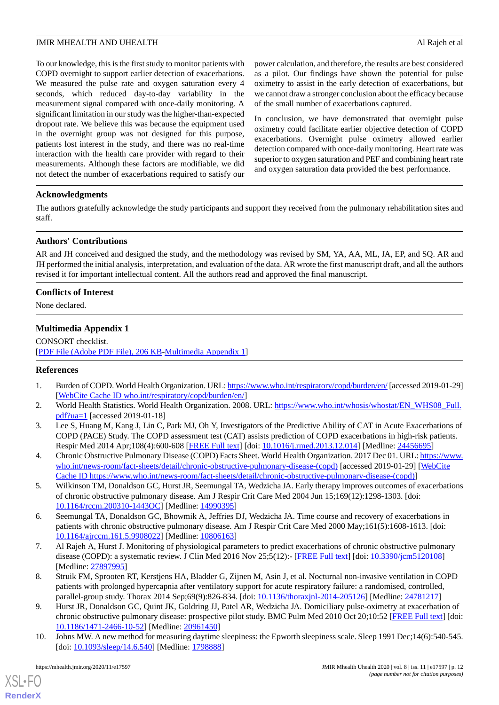To our knowledge, this is the first study to monitor patients with COPD overnight to support earlier detection of exacerbations. We measured the pulse rate and oxygen saturation every 4 seconds, which reduced day-to-day variability in the measurement signal compared with once-daily monitoring. A significant limitation in our study was the higher-than-expected dropout rate. We believe this was because the equipment used in the overnight group was not designed for this purpose, patients lost interest in the study, and there was no real-time interaction with the health care provider with regard to their measurements. Although these factors are modifiable, we did not detect the number of exacerbations required to satisfy our

power calculation, and therefore, the results are best considered as a pilot. Our findings have shown the potential for pulse oximetry to assist in the early detection of exacerbations, but we cannot draw a stronger conclusion about the efficacy because of the small number of exacerbations captured.

In conclusion, we have demonstrated that overnight pulse oximetry could facilitate earlier objective detection of COPD exacerbations. Overnight pulse oximetry allowed earlier detection compared with once-daily monitoring. Heart rate was superior to oxygen saturation and PEF and combining heart rate and oxygen saturation data provided the best performance.

## **Acknowledgments**

The authors gratefully acknowledge the study participants and support they received from the pulmonary rehabilitation sites and staff.

## **Authors' Contributions**

AR and JH conceived and designed the study, and the methodology was revised by SM, YA, AA, ML, JA, EP, and SQ. AR and JH performed the initial analysis, interpretation, and evaluation of the data. AR wrote the first manuscript draft, and all the authors revised it for important intellectual content. All the authors read and approved the final manuscript.

## **Conflicts of Interest**

None declared.

## **Multimedia Appendix 1**

<span id="page-11-0"></span>CONSORT checklist. [[PDF File \(Adobe PDF File\), 206 KB](https://jmir.org/api/download?alt_name=mhealth_v8i11e17597_app1.pdf&filename=608b760506f06d7d5ac3d346d40dfcaa.pdf)-[Multimedia Appendix 1\]](https://jmir.org/api/download?alt_name=mhealth_v8i11e17597_app1.pdf&filename=608b760506f06d7d5ac3d346d40dfcaa.pdf)

### <span id="page-11-1"></span>**References**

- <span id="page-11-2"></span>1. Burden of COPD. World Health Organization. URL:<https://www.who.int/respiratory/copd/burden/en/> [accessed 2019-01-29] [[WebCite Cache ID who.int/respiratory/copd/burden/en/\]](http://www.webcitation.org/

                                who.int/respiratory/copd/burden/en/)
- <span id="page-11-3"></span>2. World Health Statistics. World Health Organization. 2008. URL: [https://www.who.int/whosis/whostat/EN\\_WHS08\\_Full.](https://www.who.int/whosis/whostat/EN_WHS08_Full.pdf?ua=1) [pdf?ua=1](https://www.who.int/whosis/whostat/EN_WHS08_Full.pdf?ua=1) [accessed 2019-01-18]
- <span id="page-11-4"></span>3. Lee S, Huang M, Kang J, Lin C, Park MJ, Oh Y, Investigators of the Predictive Ability of CAT in Acute Exacerbations of COPD (PACE) Study. The COPD assessment test (CAT) assists prediction of COPD exacerbations in high-risk patients. Respir Med 2014 Apr;108(4):600-608 [\[FREE Full text\]](https://linkinghub.elsevier.com/retrieve/pii/S0954-6111(13)00500-3) [doi: [10.1016/j.rmed.2013.12.014\]](http://dx.doi.org/10.1016/j.rmed.2013.12.014) [Medline: [24456695](http://www.ncbi.nlm.nih.gov/entrez/query.fcgi?cmd=Retrieve&db=PubMed&list_uids=24456695&dopt=Abstract)]
- <span id="page-11-5"></span>4. Chronic Obstructive Pulmonary Disease (COPD) Facts Sheet. World Health Organization. 2017 Dec 01. URL: [https://www.](https://www.who.int/news-room/fact-sheets/detail/chronic-obstructive-pulmonary-disease-(copd)) [who.int/news-room/fact-sheets/detail/chronic-obstructive-pulmonary-disease-\(copd\)](https://www.who.int/news-room/fact-sheets/detail/chronic-obstructive-pulmonary-disease-(copd)) [accessed 2019-01-29] [\[WebCite](http://www.webcitation.org/

                                https://www.who.int/news-room/fact-sheets/detail/chronic-obstructive-pulmonary-disease-(copd)) [Cache ID https://www.who.int/news-room/fact-sheets/detail/chronic-obstructive-pulmonary-disease-\(copd\)](http://www.webcitation.org/

                                https://www.who.int/news-room/fact-sheets/detail/chronic-obstructive-pulmonary-disease-(copd))]
- <span id="page-11-6"></span>5. Wilkinson TM, Donaldson GC, Hurst JR, Seemungal TA, Wedzicha JA. Early therapy improves outcomes of exacerbations of chronic obstructive pulmonary disease. Am J Respir Crit Care Med 2004 Jun 15;169(12):1298-1303. [doi: [10.1164/rccm.200310-1443OC\]](http://dx.doi.org/10.1164/rccm.200310-1443OC) [Medline: [14990395](http://www.ncbi.nlm.nih.gov/entrez/query.fcgi?cmd=Retrieve&db=PubMed&list_uids=14990395&dopt=Abstract)]
- <span id="page-11-7"></span>6. Seemungal TA, Donaldson GC, Bhowmik A, Jeffries DJ, Wedzicha JA. Time course and recovery of exacerbations in patients with chronic obstructive pulmonary disease. Am J Respir Crit Care Med 2000 May;161(5):1608-1613. [doi: [10.1164/ajrccm.161.5.9908022\]](http://dx.doi.org/10.1164/ajrccm.161.5.9908022) [Medline: [10806163](http://www.ncbi.nlm.nih.gov/entrez/query.fcgi?cmd=Retrieve&db=PubMed&list_uids=10806163&dopt=Abstract)]
- <span id="page-11-8"></span>7. Al Rajeh A, Hurst J. Monitoring of physiological parameters to predict exacerbations of chronic obstructive pulmonary disease (COPD): a systematic review. J Clin Med 2016 Nov 25;5(12):- [[FREE Full text](https://www.mdpi.com/resolver?pii=jcm5120108)] [doi: [10.3390/jcm5120108\]](http://dx.doi.org/10.3390/jcm5120108) [Medline: [27897995](http://www.ncbi.nlm.nih.gov/entrez/query.fcgi?cmd=Retrieve&db=PubMed&list_uids=27897995&dopt=Abstract)]
- <span id="page-11-9"></span>8. Struik FM, Sprooten RT, Kerstjens HA, Bladder G, Zijnen M, Asin J, et al. Nocturnal non-invasive ventilation in COPD patients with prolonged hypercapnia after ventilatory support for acute respiratory failure: a randomised, controlled, parallel-group study. Thorax 2014 Sep;69(9):826-834. [doi: [10.1136/thoraxjnl-2014-205126\]](http://dx.doi.org/10.1136/thoraxjnl-2014-205126) [Medline: [24781217](http://www.ncbi.nlm.nih.gov/entrez/query.fcgi?cmd=Retrieve&db=PubMed&list_uids=24781217&dopt=Abstract)]
- 9. Hurst JR, Donaldson GC, Quint JK, Goldring JJ, Patel AR, Wedzicha JA. Domiciliary pulse-oximetry at exacerbation of chronic obstructive pulmonary disease: prospective pilot study. BMC Pulm Med 2010 Oct 20;10:52 [\[FREE Full text](https://bmcpulmmed.biomedcentral.com/articles/10.1186/1471-2466-10-52)] [doi: [10.1186/1471-2466-10-52\]](http://dx.doi.org/10.1186/1471-2466-10-52) [Medline: [20961450\]](http://www.ncbi.nlm.nih.gov/entrez/query.fcgi?cmd=Retrieve&db=PubMed&list_uids=20961450&dopt=Abstract)
- 10. Johns MW. A new method for measuring daytime sleepiness: the Epworth sleepiness scale. Sleep 1991 Dec;14(6):540-545. [doi: [10.1093/sleep/14.6.540\]](http://dx.doi.org/10.1093/sleep/14.6.540) [Medline: [1798888](http://www.ncbi.nlm.nih.gov/entrez/query.fcgi?cmd=Retrieve&db=PubMed&list_uids=1798888&dopt=Abstract)]

[XSL](http://www.w3.org/Style/XSL)•FO **[RenderX](http://www.renderx.com/)**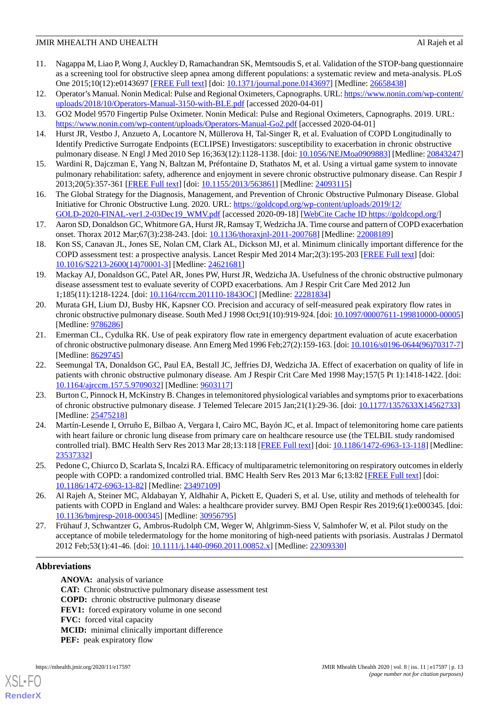- <span id="page-12-0"></span>11. Nagappa M, Liao P, Wong J, Auckley D, Ramachandran SK, Memtsoudis S, et al. Validation of the STOP-bang questionnaire as a screening tool for obstructive sleep apnea among different populations: a systematic review and meta-analysis. PLoS One 2015;10(12):e0143697 [\[FREE Full text\]](https://dx.plos.org/10.1371/journal.pone.0143697) [doi: [10.1371/journal.pone.0143697\]](http://dx.doi.org/10.1371/journal.pone.0143697) [Medline: [26658438\]](http://www.ncbi.nlm.nih.gov/entrez/query.fcgi?cmd=Retrieve&db=PubMed&list_uids=26658438&dopt=Abstract)
- <span id="page-12-2"></span><span id="page-12-1"></span>12. Operator's Manual. Nonin Medical: Pulse and Regional Oximeters, Capnographs. URL: [https://www.nonin.com/wp-content/](https://www.nonin.com/wp-content/uploads/2018/10/Operators-Manual-3150-with-BLE.pdf) [uploads/2018/10/Operators-Manual-3150-with-BLE.pdf](https://www.nonin.com/wp-content/uploads/2018/10/Operators-Manual-3150-with-BLE.pdf) [accessed 2020-04-01]
- <span id="page-12-3"></span>13. GO2 Model 9570 Fingertip Pulse Oximeter. Nonin Medical: Pulse and Regional Oximeters, Capnographs. 2019. URL: <https://www.nonin.com/wp-content/uploads/Operators-Manual-Go2.pdf> [accessed 2020-04-01]
- <span id="page-12-4"></span>14. Hurst JR, Vestbo J, Anzueto A, Locantore N, Müllerova H, Tal-Singer R, et al. Evaluation of COPD Longitudinally to Identify Predictive Surrogate Endpoints (ECLIPSE) Investigators: susceptibility to exacerbation in chronic obstructive pulmonary disease. N Engl J Med 2010 Sep 16;363(12):1128-1138. [doi: [10.1056/NEJMoa0909883\]](http://dx.doi.org/10.1056/NEJMoa0909883) [Medline: [20843247](http://www.ncbi.nlm.nih.gov/entrez/query.fcgi?cmd=Retrieve&db=PubMed&list_uids=20843247&dopt=Abstract)]
- <span id="page-12-5"></span>15. Wardini R, Dajczman E, Yang N, Baltzan M, Préfontaine D, Stathatos M, et al. Using a virtual game system to innovate pulmonary rehabilitation: safety, adherence and enjoyment in severe chronic obstructive pulmonary disease. Can Respir J 2013;20(5):357-361 [[FREE Full text](https://doi.org/10.1155/2013/563861)] [doi: [10.1155/2013/563861\]](http://dx.doi.org/10.1155/2013/563861) [Medline: [24093115](http://www.ncbi.nlm.nih.gov/entrez/query.fcgi?cmd=Retrieve&db=PubMed&list_uids=24093115&dopt=Abstract)]
- <span id="page-12-6"></span>16. The Global Strategy for the Diagnosis, Management, and Prevention of Chronic Obstructive Pulmonary Disease. Global Initiative for Chronic Obstructive Lung. 2020. URL: [https://goldcopd.org/wp-content/uploads/2019/12/](https://goldcopd.org/wp-content/uploads/2019/12/GOLD-2020-FINAL-ver1.2-03Dec19_WMV.pdf) [GOLD-2020-FINAL-ver1.2-03Dec19\\_WMV.pdf](https://goldcopd.org/wp-content/uploads/2019/12/GOLD-2020-FINAL-ver1.2-03Dec19_WMV.pdf) [accessed 2020-09-18] [\[WebCite Cache ID https://goldcopd.org/](http://www.webcitation.org/

                                https://goldcopd.org/)]
- <span id="page-12-7"></span>17. Aaron SD, Donaldson GC, Whitmore GA, Hurst JR, Ramsay T, Wedzicha JA. Time course and pattern of COPD exacerbation onset. Thorax 2012 Mar;67(3):238-243. [doi: [10.1136/thoraxjnl-2011-200768](http://dx.doi.org/10.1136/thoraxjnl-2011-200768)] [Medline: [22008189\]](http://www.ncbi.nlm.nih.gov/entrez/query.fcgi?cmd=Retrieve&db=PubMed&list_uids=22008189&dopt=Abstract)
- <span id="page-12-8"></span>18. Kon SS, Canavan JL, Jones SE, Nolan CM, Clark AL, Dickson MJ, et al. Minimum clinically important difference for the COPD assessment test: a prospective analysis. Lancet Respir Med 2014 Mar;2(3):195-203 [[FREE Full text](https://linkinghub.elsevier.com/retrieve/pii/S2213-2600(14)70001-3)] [doi: [10.1016/S2213-2600\(14\)70001-3\]](http://dx.doi.org/10.1016/S2213-2600(14)70001-3) [Medline: [24621681](http://www.ncbi.nlm.nih.gov/entrez/query.fcgi?cmd=Retrieve&db=PubMed&list_uids=24621681&dopt=Abstract)]
- <span id="page-12-9"></span>19. Mackay AJ, Donaldson GC, Patel AR, Jones PW, Hurst JR, Wedzicha JA. Usefulness of the chronic obstructive pulmonary disease assessment test to evaluate severity of COPD exacerbations. Am J Respir Crit Care Med 2012 Jun 1;185(11):1218-1224. [doi: [10.1164/rccm.201110-1843OC\]](http://dx.doi.org/10.1164/rccm.201110-1843OC) [Medline: [22281834](http://www.ncbi.nlm.nih.gov/entrez/query.fcgi?cmd=Retrieve&db=PubMed&list_uids=22281834&dopt=Abstract)]
- <span id="page-12-10"></span>20. Murata GH, Lium DJ, Busby HK, Kapsner CO. Precision and accuracy of self-measured peak expiratory flow rates in chronic obstructive pulmonary disease. South Med J 1998 Oct;91(10):919-924. [doi: [10.1097/00007611-199810000-00005\]](http://dx.doi.org/10.1097/00007611-199810000-00005) [Medline: [9786286\]](http://www.ncbi.nlm.nih.gov/entrez/query.fcgi?cmd=Retrieve&db=PubMed&list_uids=9786286&dopt=Abstract)
- <span id="page-12-11"></span>21. Emerman CL, Cydulka RK. Use of peak expiratory flow rate in emergency department evaluation of acute exacerbation of chronic obstructive pulmonary disease. Ann Emerg Med 1996 Feb;27(2):159-163. [doi: [10.1016/s0196-0644\(96\)70317-7\]](http://dx.doi.org/10.1016/s0196-0644(96)70317-7) [Medline: [8629745\]](http://www.ncbi.nlm.nih.gov/entrez/query.fcgi?cmd=Retrieve&db=PubMed&list_uids=8629745&dopt=Abstract)
- <span id="page-12-12"></span>22. Seemungal TA, Donaldson GC, Paul EA, Bestall JC, Jeffries DJ, Wedzicha JA. Effect of exacerbation on quality of life in patients with chronic obstructive pulmonary disease. Am J Respir Crit Care Med 1998 May;157(5 Pt 1):1418-1422. [doi: [10.1164/ajrccm.157.5.9709032\]](http://dx.doi.org/10.1164/ajrccm.157.5.9709032) [Medline: [9603117](http://www.ncbi.nlm.nih.gov/entrez/query.fcgi?cmd=Retrieve&db=PubMed&list_uids=9603117&dopt=Abstract)]
- 23. Burton C, Pinnock H, McKinstry B. Changes in telemonitored physiological variables and symptoms prior to exacerbations of chronic obstructive pulmonary disease. J Telemed Telecare 2015 Jan;21(1):29-36. [doi: [10.1177/1357633X14562733\]](http://dx.doi.org/10.1177/1357633X14562733) [Medline: [25475218](http://www.ncbi.nlm.nih.gov/entrez/query.fcgi?cmd=Retrieve&db=PubMed&list_uids=25475218&dopt=Abstract)]
- <span id="page-12-13"></span>24. Martín-Lesende I, Orruño E, Bilbao A, Vergara I, Cairo MC, Bayón JC, et al. Impact of telemonitoring home care patients with heart failure or chronic lung disease from primary care on healthcare resource use (the TELBIL study randomised controlled trial). BMC Health Serv Res 2013 Mar 28;13:118 [\[FREE Full text](https://bmchealthservres.biomedcentral.com/articles/10.1186/1472-6963-13-118)] [doi: [10.1186/1472-6963-13-118\]](http://dx.doi.org/10.1186/1472-6963-13-118) [Medline: [23537332](http://www.ncbi.nlm.nih.gov/entrez/query.fcgi?cmd=Retrieve&db=PubMed&list_uids=23537332&dopt=Abstract)]
- <span id="page-12-15"></span><span id="page-12-14"></span>25. Pedone C, Chiurco D, Scarlata S, Incalzi RA. Efficacy of multiparametric telemonitoring on respiratory outcomes in elderly people with COPD: a randomized controlled trial. BMC Health Serv Res 2013 Mar 6;13:82 [[FREE Full text](https://bmchealthservres.biomedcentral.com/articles/10.1186/1472-6963-13-82)] [doi: [10.1186/1472-6963-13-82\]](http://dx.doi.org/10.1186/1472-6963-13-82) [Medline: [23497109\]](http://www.ncbi.nlm.nih.gov/entrez/query.fcgi?cmd=Retrieve&db=PubMed&list_uids=23497109&dopt=Abstract)
- 26. Al Rajeh A, Steiner MC, Aldabayan Y, Aldhahir A, Pickett E, Quaderi S, et al. Use, utility and methods of telehealth for patients with COPD in England and Wales: a healthcare provider survey. BMJ Open Respir Res 2019;6(1):e000345. [doi: [10.1136/bmjresp-2018-000345\]](http://dx.doi.org/10.1136/bmjresp-2018-000345) [Medline: [30956795](http://www.ncbi.nlm.nih.gov/entrez/query.fcgi?cmd=Retrieve&db=PubMed&list_uids=30956795&dopt=Abstract)]
- 27. Frühauf J, Schwantzer G, Ambros-Rudolph CM, Weger W, Ahlgrimm-Siess V, Salmhofer W, et al. Pilot study on the acceptance of mobile teledermatology for the home monitoring of high-need patients with psoriasis. Australas J Dermatol 2012 Feb;53(1):41-46. [doi: [10.1111/j.1440-0960.2011.00852.x](http://dx.doi.org/10.1111/j.1440-0960.2011.00852.x)] [Medline: [22309330](http://www.ncbi.nlm.nih.gov/entrez/query.fcgi?cmd=Retrieve&db=PubMed&list_uids=22309330&dopt=Abstract)]

## **Abbreviations**

[XSL](http://www.w3.org/Style/XSL)•FO **[RenderX](http://www.renderx.com/)**

**ANOVA:** analysis of variance **CAT:** Chronic obstructive pulmonary disease assessment test **COPD:** chronic obstructive pulmonary disease **FEV1:** forced expiratory volume in one second **FVC:** forced vital capacity **MCID:** minimal clinically important difference **PEF:** peak expiratory flow